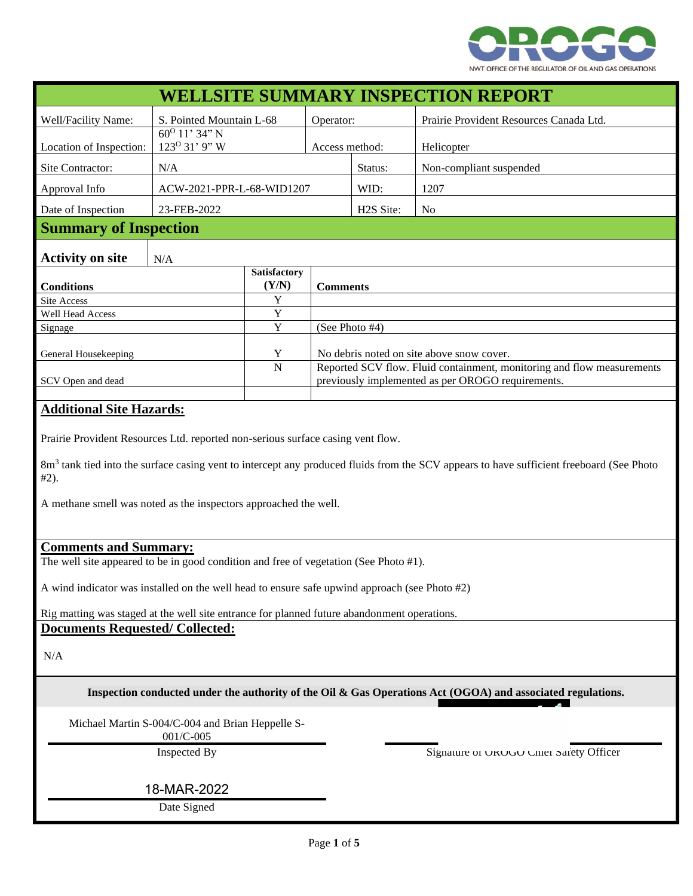

| <b>WELLSITE SUMMARY INSPECTION REPORT</b>                                                                                                                       |                                                        |              |                                           |                                                                                                                             |                                         |  |
|-----------------------------------------------------------------------------------------------------------------------------------------------------------------|--------------------------------------------------------|--------------|-------------------------------------------|-----------------------------------------------------------------------------------------------------------------------------|-----------------------------------------|--|
| Well/Facility Name:                                                                                                                                             | S. Pointed Mountain L-68                               |              | Operator:                                 |                                                                                                                             | Prairie Provident Resources Canada Ltd. |  |
| Location of Inspection:                                                                                                                                         | $\frac{60^0}{11}$ , 34" N<br>123 <sup>0</sup> 31' 9" W |              | Access method:                            |                                                                                                                             | Helicopter                              |  |
| Site Contractor:                                                                                                                                                | N/A                                                    |              |                                           | Status:                                                                                                                     | Non-compliant suspended                 |  |
| Approval Info<br>ACW-2021-PPR-L-68-WID1207                                                                                                                      |                                                        |              |                                           | WID:                                                                                                                        | 1207                                    |  |
| 23-FEB-2022<br>Date of Inspection                                                                                                                               |                                                        |              |                                           | H2S Site:                                                                                                                   | N <sub>o</sub>                          |  |
| <b>Summary of Inspection</b>                                                                                                                                    |                                                        |              |                                           |                                                                                                                             |                                         |  |
|                                                                                                                                                                 |                                                        |              |                                           |                                                                                                                             |                                         |  |
| <b>Activity on site</b>                                                                                                                                         | N/A                                                    | Satisfactory |                                           |                                                                                                                             |                                         |  |
| <b>Conditions</b>                                                                                                                                               |                                                        | (Y/N)        | <b>Comments</b>                           |                                                                                                                             |                                         |  |
| Site Access                                                                                                                                                     |                                                        | Y            |                                           |                                                                                                                             |                                         |  |
| Well Head Access                                                                                                                                                |                                                        | Y            |                                           |                                                                                                                             |                                         |  |
| Signage                                                                                                                                                         |                                                        | $\mathbf Y$  | (See Photo #4)                            |                                                                                                                             |                                         |  |
| General Housekeeping                                                                                                                                            |                                                        | Y            | No debris noted on site above snow cover. |                                                                                                                             |                                         |  |
| SCV Open and dead                                                                                                                                               |                                                        | $\mathbf N$  |                                           | Reported SCV flow. Fluid containment, monitoring and flow measurements<br>previously implemented as per OROGO requirements. |                                         |  |
|                                                                                                                                                                 |                                                        |              |                                           |                                                                                                                             |                                         |  |
| <b>Additional Site Hazards:</b>                                                                                                                                 |                                                        |              |                                           |                                                                                                                             |                                         |  |
| Prairie Provident Resources Ltd. reported non-serious surface casing vent flow.                                                                                 |                                                        |              |                                           |                                                                                                                             |                                         |  |
| 8m <sup>3</sup> tank tied into the surface casing vent to intercept any produced fluids from the SCV appears to have sufficient freeboard (See Photo<br>$#2$ ). |                                                        |              |                                           |                                                                                                                             |                                         |  |
| A methane smell was noted as the inspectors approached the well.                                                                                                |                                                        |              |                                           |                                                                                                                             |                                         |  |
|                                                                                                                                                                 |                                                        |              |                                           |                                                                                                                             |                                         |  |
| <b>Comments and Summary:</b>                                                                                                                                    |                                                        |              |                                           |                                                                                                                             |                                         |  |
| The well site appeared to be in good condition and free of vegetation (See Photo #1).                                                                           |                                                        |              |                                           |                                                                                                                             |                                         |  |
| A wind indicator was installed on the well head to ensure safe upwind approach (see Photo #2)                                                                   |                                                        |              |                                           |                                                                                                                             |                                         |  |
| Rig matting was staged at the well site entrance for planned future abandonment operations.                                                                     |                                                        |              |                                           |                                                                                                                             |                                         |  |
| <b>Documents Requested/Collected:</b>                                                                                                                           |                                                        |              |                                           |                                                                                                                             |                                         |  |
| N/A                                                                                                                                                             |                                                        |              |                                           |                                                                                                                             |                                         |  |
| Inspection conducted under the authority of the Oil & Gas Operations Act (OGOA) and associated regulations.                                                     |                                                        |              |                                           |                                                                                                                             |                                         |  |
| Michael Martin S-004/C-004 and Brian Heppelle S-<br>001/C-005                                                                                                   |                                                        |              |                                           |                                                                                                                             |                                         |  |
|                                                                                                                                                                 |                                                        |              |                                           | Signature of OROGO Chief Safety Officer                                                                                     |                                         |  |
|                                                                                                                                                                 |                                                        |              |                                           |                                                                                                                             |                                         |  |
| 18-MAR-2022                                                                                                                                                     |                                                        |              |                                           |                                                                                                                             |                                         |  |
| Date Signed                                                                                                                                                     |                                                        |              |                                           |                                                                                                                             |                                         |  |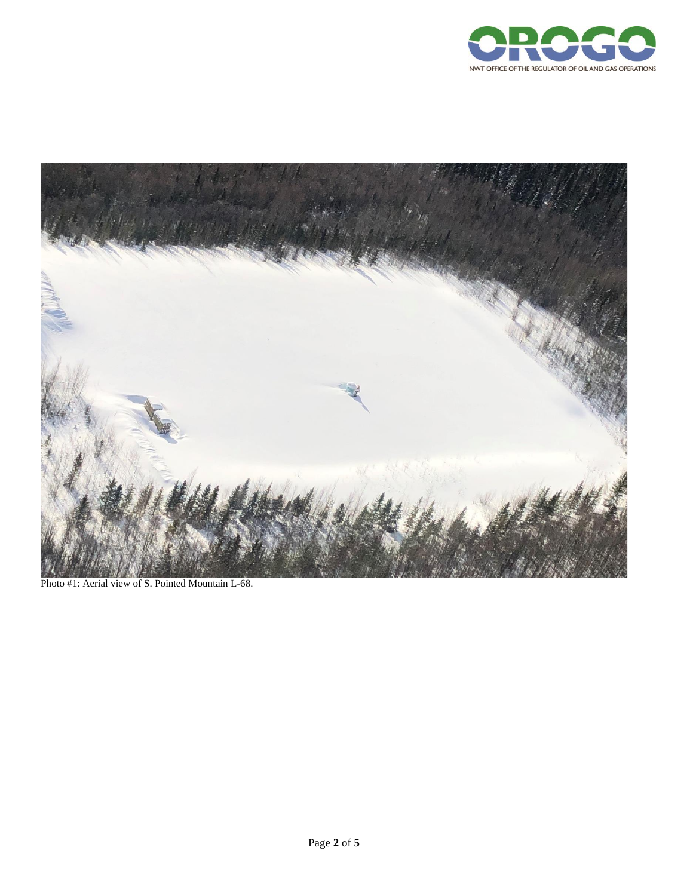



Photo #1: Aerial view of S. Pointed Mountain L-68.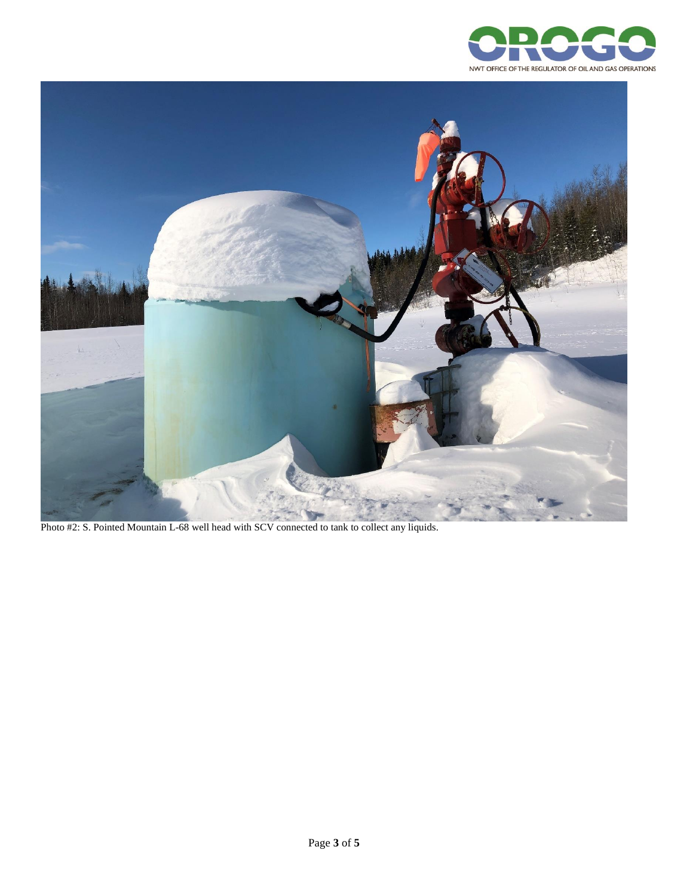



Photo #2: S. Pointed Mountain L-68 well head with SCV connected to tank to collect any liquids.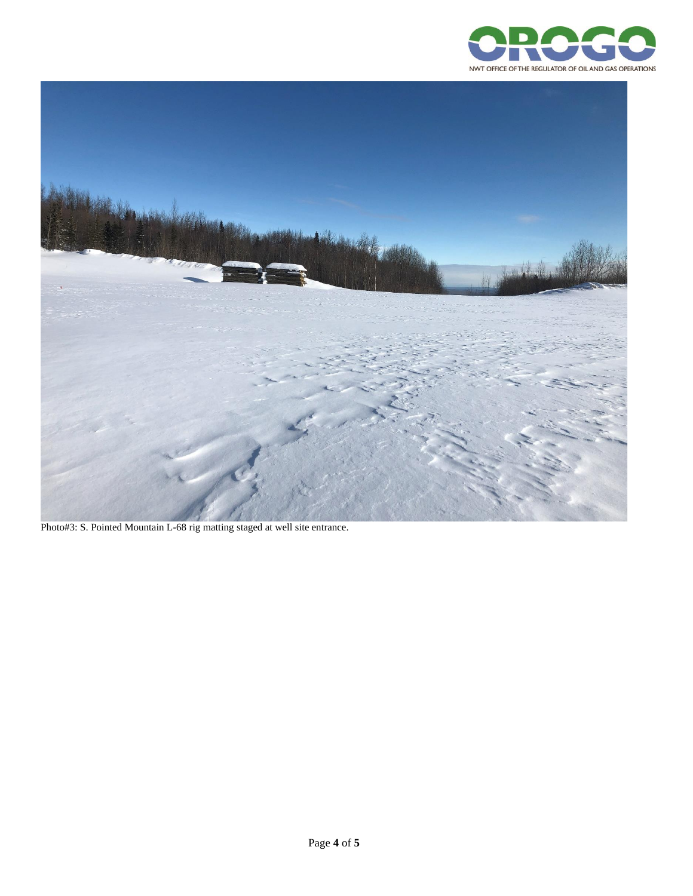



Photo#3: S. Pointed Mountain L-68 rig matting staged at well site entrance.